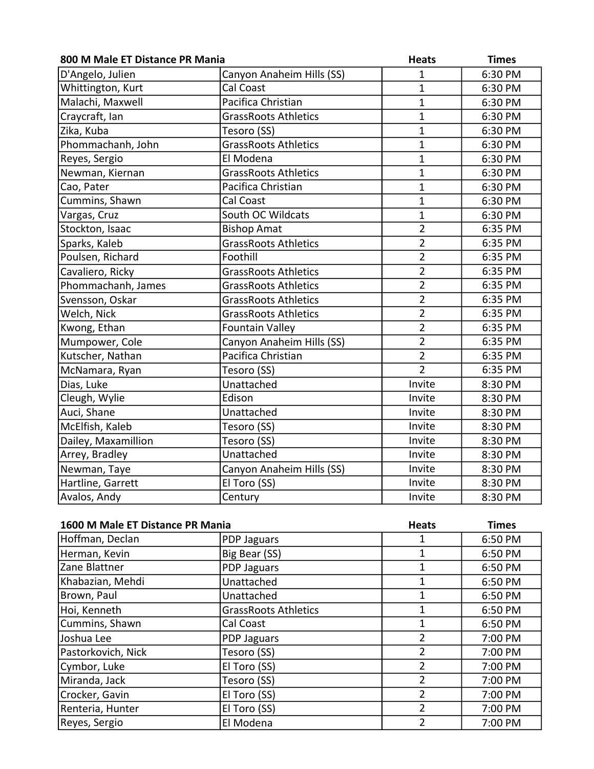| 800 M Male ET Distance PR Mania |                             | <b>Heats</b>   | <b>Times</b> |
|---------------------------------|-----------------------------|----------------|--------------|
| D'Angelo, Julien                | Canyon Anaheim Hills (SS)   | $\mathbf 1$    | 6:30 PM      |
| Whittington, Kurt               | Cal Coast                   | $\mathbf{1}$   | 6:30 PM      |
| Malachi, Maxwell                | Pacifica Christian          | $\overline{1}$ | 6:30 PM      |
| Craycraft, Ian                  | <b>GrassRoots Athletics</b> | $\mathbf 1$    | 6:30 PM      |
| Zika, Kuba                      | Tesoro (SS)                 | $\mathbf{1}$   | 6:30 PM      |
| Phommachanh, John               | <b>GrassRoots Athletics</b> | $\mathbf{1}$   | 6:30 PM      |
| Reyes, Sergio                   | El Modena                   | $\mathbf 1$    | 6:30 PM      |
| Newman, Kiernan                 | <b>GrassRoots Athletics</b> | $\mathbf 1$    | 6:30 PM      |
| Cao, Pater                      | Pacifica Christian          | $\overline{1}$ | 6:30 PM      |
| Cummins, Shawn                  | Cal Coast                   | $\overline{1}$ | 6:30 PM      |
| Vargas, Cruz                    | South OC Wildcats           | $\mathbf{1}$   | 6:30 PM      |
| Stockton, Isaac                 | <b>Bishop Amat</b>          | $\overline{2}$ | 6:35 PM      |
| Sparks, Kaleb                   | <b>GrassRoots Athletics</b> | $\overline{2}$ | 6:35 PM      |
| Poulsen, Richard                | Foothill                    | $\overline{2}$ | 6:35 PM      |
| Cavaliero, Ricky                | <b>GrassRoots Athletics</b> | $\overline{2}$ | 6:35 PM      |
| Phommachanh, James              | <b>GrassRoots Athletics</b> | $\overline{2}$ | 6:35 PM      |
| Svensson, Oskar                 | <b>GrassRoots Athletics</b> | $\overline{2}$ | 6:35 PM      |
| Welch, Nick                     | <b>GrassRoots Athletics</b> | $\overline{2}$ | 6:35 PM      |
| Kwong, Ethan                    | <b>Fountain Valley</b>      | $\overline{2}$ | 6:35 PM      |
| Mumpower, Cole                  | Canyon Anaheim Hills (SS)   | $\overline{2}$ | 6:35 PM      |
| Kutscher, Nathan                | Pacifica Christian          | $\overline{2}$ | 6:35 PM      |
| McNamara, Ryan                  | Tesoro (SS)                 | $\overline{2}$ | 6:35 PM      |
| Dias, Luke                      | Unattached                  | Invite         | 8:30 PM      |
| Cleugh, Wylie                   | Edison                      | Invite         | 8:30 PM      |
| Auci, Shane                     | Unattached                  | Invite         | 8:30 PM      |
| McElfish, Kaleb                 | Tesoro (SS)                 | Invite         | 8:30 PM      |
| Dailey, Maxamillion             | Tesoro (SS)                 | Invite         | 8:30 PM      |
| Arrey, Bradley                  | Unattached                  | Invite         | 8:30 PM      |
| Newman, Taye                    | Canyon Anaheim Hills (SS)   | Invite         | 8:30 PM      |
| Hartline, Garrett               | El Toro (SS)                | Invite         | 8:30 PM      |
| Avalos, Andy                    | Century                     | Invite         | 8:30 PM      |

| 1600 M Male ET Distance PR Mania |                             | <b>Heats</b>   | <b>Times</b> |
|----------------------------------|-----------------------------|----------------|--------------|
| Hoffman, Declan                  | PDP Jaguars                 |                | 6:50 PM      |
| Herman, Kevin                    | Big Bear (SS)               |                | 6:50 PM      |
| Zane Blattner                    | PDP Jaguars                 |                | 6:50 PM      |
| Khabazian, Mehdi                 | Unattached                  |                | 6:50 PM      |
| Brown, Paul                      | Unattached                  |                | 6:50 PM      |
| Hoi, Kenneth                     | <b>GrassRoots Athletics</b> |                | 6:50 PM      |
| Cummins, Shawn                   | Cal Coast                   |                | 6:50 PM      |
| Joshua Lee                       | PDP Jaguars                 | 2              | 7:00 PM      |
| Pastorkovich, Nick               | Tesoro (SS)                 | 2              | 7:00 PM      |
| Cymbor, Luke                     | El Toro (SS)                | 2              | 7:00 PM      |
| Miranda, Jack                    | Tesoro (SS)                 | 2              | 7:00 PM      |
| Crocker, Gavin                   | El Toro (SS)                | 2              | 7:00 PM      |
| Renteria, Hunter                 | El Toro (SS)                | $\overline{2}$ | 7:00 PM      |
| Reyes, Sergio                    | El Modena                   | 2              | 7:00 PM      |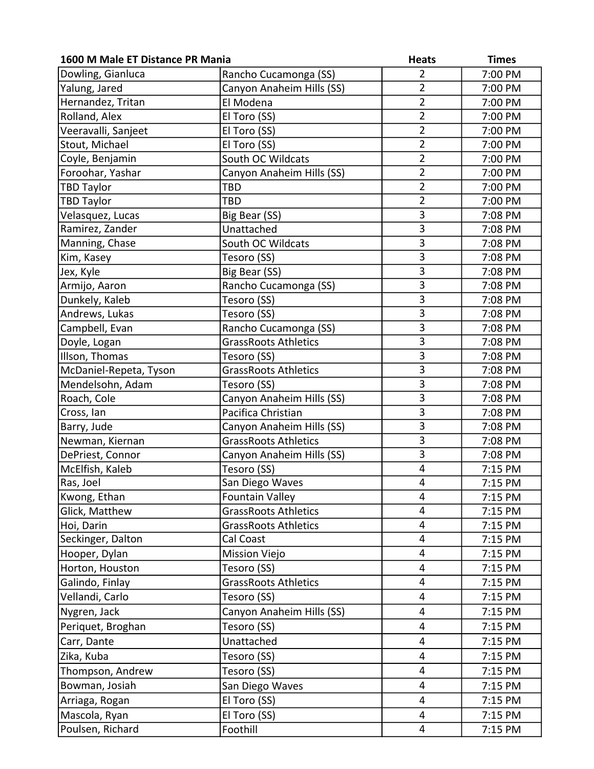| Dowling, Gianluca<br>$\overline{2}$<br>Rancho Cucamonga (SS)<br>7:00 PM<br>$\overline{2}$<br>Canyon Anaheim Hills (SS)<br>Yalung, Jared<br>7:00 PM<br>Hernandez, Tritan<br>$\overline{2}$<br>El Modena<br>7:00 PM<br>$\overline{2}$<br>Rolland, Alex<br>7:00 PM<br>El Toro (SS)<br>$\overline{2}$<br>Veeravalli, Sanjeet<br>El Toro (SS)<br>7:00 PM<br>$\overline{2}$<br>Stout, Michael<br>El Toro (SS)<br>7:00 PM<br>$\overline{2}$<br>Coyle, Benjamin<br>South OC Wildcats<br>7:00 PM<br>$\overline{2}$<br>Foroohar, Yashar<br>Canyon Anaheim Hills (SS)<br>7:00 PM<br>$\overline{2}$<br><b>TBD Taylor</b><br>TBD<br>7:00 PM<br>$\overline{2}$<br><b>TBD Taylor</b><br>TBD<br>7:00 PM<br>3<br>Velasquez, Lucas<br>Big Bear (SS)<br>7:08 PM<br>$\overline{3}$<br>Ramirez, Zander<br>Unattached<br>7:08 PM<br>3<br>Manning, Chase<br>South OC Wildcats<br>7:08 PM<br>3<br>Tesoro (SS)<br>7:08 PM<br>Kim, Kasey<br>$\overline{3}$<br>Big Bear (SS)<br>Jex, Kyle<br>7:08 PM<br>3<br>Rancho Cucamonga (SS)<br>Armijo, Aaron<br>7:08 PM<br>$\overline{3}$<br>Dunkely, Kaleb<br>Tesoro (SS)<br>7:08 PM<br>$\overline{\overline{3}}$<br>Andrews, Lukas<br>Tesoro (SS)<br>7:08 PM<br>3<br>Rancho Cucamonga (SS)<br>Campbell, Evan<br>7:08 PM<br>3<br>Doyle, Logan<br><b>GrassRoots Athletics</b><br>7:08 PM<br>3<br>Illson, Thomas<br>Tesoro (SS)<br>7:08 PM<br>$\overline{3}$<br><b>GrassRoots Athletics</b><br>McDaniel-Repeta, Tyson<br>7:08 PM<br>3<br>Mendelsohn, Adam<br>Tesoro (SS)<br>7:08 PM<br>$\overline{3}$<br>Canyon Anaheim Hills (SS)<br>Roach, Cole<br>7:08 PM<br>3<br>Cross, Ian<br>Pacifica Christian<br>7:08 PM<br>$\overline{3}$<br>Canyon Anaheim Hills (SS)<br>Barry, Jude<br>7:08 PM<br>$\overline{3}$<br><b>GrassRoots Athletics</b><br>Newman, Kiernan<br>7:08 PM<br>3<br>DePriest, Connor<br>Canyon Anaheim Hills (SS)<br>7:08 PM<br>4<br>Tesoro (SS)<br>McElfish, Kaleb<br>7:15 PM<br>San Diego Waves<br>$\overline{\mathbf{4}}$<br>Ras, Joel<br>7:15 PM<br>4<br><b>Fountain Valley</b><br>Kwong, Ethan<br>7:15 PM<br>Glick, Matthew<br>GrassRoots Athletics<br>4<br>7:15 PM<br>4<br><b>GrassRoots Athletics</b><br>Hoi, Darin<br>7:15 PM<br>Seckinger, Dalton<br>Cal Coast<br>4<br>7:15 PM<br>Hooper, Dylan<br>4<br>7:15 PM<br><b>Mission Viejo</b><br>Horton, Houston<br>Tesoro (SS)<br>4<br>7:15 PM<br>GrassRoots Athletics<br>Galindo, Finlay<br>7:15 PM<br>4<br>Vellandi, Carlo<br>Tesoro (SS)<br>4<br>7:15 PM<br>Nygren, Jack<br>Canyon Anaheim Hills (SS)<br>4<br>7:15 PM<br>Periquet, Broghan<br>Tesoro (SS)<br>4<br>7:15 PM<br>Unattached<br>Carr, Dante<br>4<br>7:15 PM<br>Zika, Kuba<br>Tesoro (SS)<br>4<br>7:15 PM<br>Thompson, Andrew<br>Tesoro (SS)<br>4<br>7:15 PM<br>Bowman, Josiah<br>San Diego Waves<br>4<br>7:15 PM<br>El Toro (SS)<br>$\overline{\mathbf{4}}$<br>Arriaga, Rogan<br>7:15 PM<br>Mascola, Ryan<br>El Toro (SS)<br>7:15 PM<br>4 | 1600 M Male ET Distance PR Mania |          | <b>Heats</b> | <b>Times</b> |
|-------------------------------------------------------------------------------------------------------------------------------------------------------------------------------------------------------------------------------------------------------------------------------------------------------------------------------------------------------------------------------------------------------------------------------------------------------------------------------------------------------------------------------------------------------------------------------------------------------------------------------------------------------------------------------------------------------------------------------------------------------------------------------------------------------------------------------------------------------------------------------------------------------------------------------------------------------------------------------------------------------------------------------------------------------------------------------------------------------------------------------------------------------------------------------------------------------------------------------------------------------------------------------------------------------------------------------------------------------------------------------------------------------------------------------------------------------------------------------------------------------------------------------------------------------------------------------------------------------------------------------------------------------------------------------------------------------------------------------------------------------------------------------------------------------------------------------------------------------------------------------------------------------------------------------------------------------------------------------------------------------------------------------------------------------------------------------------------------------------------------------------------------------------------------------------------------------------------------------------------------------------------------------------------------------------------------------------------------------------------------------------------------------------------------------------------------------------------------------------------------------------------------------------------------------------------------------------------------------------------------------------------------------------------------------------------------------------------------------------------------------------------------------------------------------------------------------------------------------------------------------------|----------------------------------|----------|--------------|--------------|
|                                                                                                                                                                                                                                                                                                                                                                                                                                                                                                                                                                                                                                                                                                                                                                                                                                                                                                                                                                                                                                                                                                                                                                                                                                                                                                                                                                                                                                                                                                                                                                                                                                                                                                                                                                                                                                                                                                                                                                                                                                                                                                                                                                                                                                                                                                                                                                                                                                                                                                                                                                                                                                                                                                                                                                                                                                                                                     |                                  |          |              |              |
|                                                                                                                                                                                                                                                                                                                                                                                                                                                                                                                                                                                                                                                                                                                                                                                                                                                                                                                                                                                                                                                                                                                                                                                                                                                                                                                                                                                                                                                                                                                                                                                                                                                                                                                                                                                                                                                                                                                                                                                                                                                                                                                                                                                                                                                                                                                                                                                                                                                                                                                                                                                                                                                                                                                                                                                                                                                                                     |                                  |          |              |              |
|                                                                                                                                                                                                                                                                                                                                                                                                                                                                                                                                                                                                                                                                                                                                                                                                                                                                                                                                                                                                                                                                                                                                                                                                                                                                                                                                                                                                                                                                                                                                                                                                                                                                                                                                                                                                                                                                                                                                                                                                                                                                                                                                                                                                                                                                                                                                                                                                                                                                                                                                                                                                                                                                                                                                                                                                                                                                                     |                                  |          |              |              |
|                                                                                                                                                                                                                                                                                                                                                                                                                                                                                                                                                                                                                                                                                                                                                                                                                                                                                                                                                                                                                                                                                                                                                                                                                                                                                                                                                                                                                                                                                                                                                                                                                                                                                                                                                                                                                                                                                                                                                                                                                                                                                                                                                                                                                                                                                                                                                                                                                                                                                                                                                                                                                                                                                                                                                                                                                                                                                     |                                  |          |              |              |
|                                                                                                                                                                                                                                                                                                                                                                                                                                                                                                                                                                                                                                                                                                                                                                                                                                                                                                                                                                                                                                                                                                                                                                                                                                                                                                                                                                                                                                                                                                                                                                                                                                                                                                                                                                                                                                                                                                                                                                                                                                                                                                                                                                                                                                                                                                                                                                                                                                                                                                                                                                                                                                                                                                                                                                                                                                                                                     |                                  |          |              |              |
|                                                                                                                                                                                                                                                                                                                                                                                                                                                                                                                                                                                                                                                                                                                                                                                                                                                                                                                                                                                                                                                                                                                                                                                                                                                                                                                                                                                                                                                                                                                                                                                                                                                                                                                                                                                                                                                                                                                                                                                                                                                                                                                                                                                                                                                                                                                                                                                                                                                                                                                                                                                                                                                                                                                                                                                                                                                                                     |                                  |          |              |              |
|                                                                                                                                                                                                                                                                                                                                                                                                                                                                                                                                                                                                                                                                                                                                                                                                                                                                                                                                                                                                                                                                                                                                                                                                                                                                                                                                                                                                                                                                                                                                                                                                                                                                                                                                                                                                                                                                                                                                                                                                                                                                                                                                                                                                                                                                                                                                                                                                                                                                                                                                                                                                                                                                                                                                                                                                                                                                                     |                                  |          |              |              |
|                                                                                                                                                                                                                                                                                                                                                                                                                                                                                                                                                                                                                                                                                                                                                                                                                                                                                                                                                                                                                                                                                                                                                                                                                                                                                                                                                                                                                                                                                                                                                                                                                                                                                                                                                                                                                                                                                                                                                                                                                                                                                                                                                                                                                                                                                                                                                                                                                                                                                                                                                                                                                                                                                                                                                                                                                                                                                     |                                  |          |              |              |
|                                                                                                                                                                                                                                                                                                                                                                                                                                                                                                                                                                                                                                                                                                                                                                                                                                                                                                                                                                                                                                                                                                                                                                                                                                                                                                                                                                                                                                                                                                                                                                                                                                                                                                                                                                                                                                                                                                                                                                                                                                                                                                                                                                                                                                                                                                                                                                                                                                                                                                                                                                                                                                                                                                                                                                                                                                                                                     |                                  |          |              |              |
|                                                                                                                                                                                                                                                                                                                                                                                                                                                                                                                                                                                                                                                                                                                                                                                                                                                                                                                                                                                                                                                                                                                                                                                                                                                                                                                                                                                                                                                                                                                                                                                                                                                                                                                                                                                                                                                                                                                                                                                                                                                                                                                                                                                                                                                                                                                                                                                                                                                                                                                                                                                                                                                                                                                                                                                                                                                                                     |                                  |          |              |              |
|                                                                                                                                                                                                                                                                                                                                                                                                                                                                                                                                                                                                                                                                                                                                                                                                                                                                                                                                                                                                                                                                                                                                                                                                                                                                                                                                                                                                                                                                                                                                                                                                                                                                                                                                                                                                                                                                                                                                                                                                                                                                                                                                                                                                                                                                                                                                                                                                                                                                                                                                                                                                                                                                                                                                                                                                                                                                                     |                                  |          |              |              |
|                                                                                                                                                                                                                                                                                                                                                                                                                                                                                                                                                                                                                                                                                                                                                                                                                                                                                                                                                                                                                                                                                                                                                                                                                                                                                                                                                                                                                                                                                                                                                                                                                                                                                                                                                                                                                                                                                                                                                                                                                                                                                                                                                                                                                                                                                                                                                                                                                                                                                                                                                                                                                                                                                                                                                                                                                                                                                     |                                  |          |              |              |
|                                                                                                                                                                                                                                                                                                                                                                                                                                                                                                                                                                                                                                                                                                                                                                                                                                                                                                                                                                                                                                                                                                                                                                                                                                                                                                                                                                                                                                                                                                                                                                                                                                                                                                                                                                                                                                                                                                                                                                                                                                                                                                                                                                                                                                                                                                                                                                                                                                                                                                                                                                                                                                                                                                                                                                                                                                                                                     |                                  |          |              |              |
|                                                                                                                                                                                                                                                                                                                                                                                                                                                                                                                                                                                                                                                                                                                                                                                                                                                                                                                                                                                                                                                                                                                                                                                                                                                                                                                                                                                                                                                                                                                                                                                                                                                                                                                                                                                                                                                                                                                                                                                                                                                                                                                                                                                                                                                                                                                                                                                                                                                                                                                                                                                                                                                                                                                                                                                                                                                                                     |                                  |          |              |              |
|                                                                                                                                                                                                                                                                                                                                                                                                                                                                                                                                                                                                                                                                                                                                                                                                                                                                                                                                                                                                                                                                                                                                                                                                                                                                                                                                                                                                                                                                                                                                                                                                                                                                                                                                                                                                                                                                                                                                                                                                                                                                                                                                                                                                                                                                                                                                                                                                                                                                                                                                                                                                                                                                                                                                                                                                                                                                                     |                                  |          |              |              |
|                                                                                                                                                                                                                                                                                                                                                                                                                                                                                                                                                                                                                                                                                                                                                                                                                                                                                                                                                                                                                                                                                                                                                                                                                                                                                                                                                                                                                                                                                                                                                                                                                                                                                                                                                                                                                                                                                                                                                                                                                                                                                                                                                                                                                                                                                                                                                                                                                                                                                                                                                                                                                                                                                                                                                                                                                                                                                     |                                  |          |              |              |
|                                                                                                                                                                                                                                                                                                                                                                                                                                                                                                                                                                                                                                                                                                                                                                                                                                                                                                                                                                                                                                                                                                                                                                                                                                                                                                                                                                                                                                                                                                                                                                                                                                                                                                                                                                                                                                                                                                                                                                                                                                                                                                                                                                                                                                                                                                                                                                                                                                                                                                                                                                                                                                                                                                                                                                                                                                                                                     |                                  |          |              |              |
|                                                                                                                                                                                                                                                                                                                                                                                                                                                                                                                                                                                                                                                                                                                                                                                                                                                                                                                                                                                                                                                                                                                                                                                                                                                                                                                                                                                                                                                                                                                                                                                                                                                                                                                                                                                                                                                                                                                                                                                                                                                                                                                                                                                                                                                                                                                                                                                                                                                                                                                                                                                                                                                                                                                                                                                                                                                                                     |                                  |          |              |              |
|                                                                                                                                                                                                                                                                                                                                                                                                                                                                                                                                                                                                                                                                                                                                                                                                                                                                                                                                                                                                                                                                                                                                                                                                                                                                                                                                                                                                                                                                                                                                                                                                                                                                                                                                                                                                                                                                                                                                                                                                                                                                                                                                                                                                                                                                                                                                                                                                                                                                                                                                                                                                                                                                                                                                                                                                                                                                                     |                                  |          |              |              |
|                                                                                                                                                                                                                                                                                                                                                                                                                                                                                                                                                                                                                                                                                                                                                                                                                                                                                                                                                                                                                                                                                                                                                                                                                                                                                                                                                                                                                                                                                                                                                                                                                                                                                                                                                                                                                                                                                                                                                                                                                                                                                                                                                                                                                                                                                                                                                                                                                                                                                                                                                                                                                                                                                                                                                                                                                                                                                     |                                  |          |              |              |
|                                                                                                                                                                                                                                                                                                                                                                                                                                                                                                                                                                                                                                                                                                                                                                                                                                                                                                                                                                                                                                                                                                                                                                                                                                                                                                                                                                                                                                                                                                                                                                                                                                                                                                                                                                                                                                                                                                                                                                                                                                                                                                                                                                                                                                                                                                                                                                                                                                                                                                                                                                                                                                                                                                                                                                                                                                                                                     |                                  |          |              |              |
|                                                                                                                                                                                                                                                                                                                                                                                                                                                                                                                                                                                                                                                                                                                                                                                                                                                                                                                                                                                                                                                                                                                                                                                                                                                                                                                                                                                                                                                                                                                                                                                                                                                                                                                                                                                                                                                                                                                                                                                                                                                                                                                                                                                                                                                                                                                                                                                                                                                                                                                                                                                                                                                                                                                                                                                                                                                                                     |                                  |          |              |              |
|                                                                                                                                                                                                                                                                                                                                                                                                                                                                                                                                                                                                                                                                                                                                                                                                                                                                                                                                                                                                                                                                                                                                                                                                                                                                                                                                                                                                                                                                                                                                                                                                                                                                                                                                                                                                                                                                                                                                                                                                                                                                                                                                                                                                                                                                                                                                                                                                                                                                                                                                                                                                                                                                                                                                                                                                                                                                                     |                                  |          |              |              |
|                                                                                                                                                                                                                                                                                                                                                                                                                                                                                                                                                                                                                                                                                                                                                                                                                                                                                                                                                                                                                                                                                                                                                                                                                                                                                                                                                                                                                                                                                                                                                                                                                                                                                                                                                                                                                                                                                                                                                                                                                                                                                                                                                                                                                                                                                                                                                                                                                                                                                                                                                                                                                                                                                                                                                                                                                                                                                     |                                  |          |              |              |
|                                                                                                                                                                                                                                                                                                                                                                                                                                                                                                                                                                                                                                                                                                                                                                                                                                                                                                                                                                                                                                                                                                                                                                                                                                                                                                                                                                                                                                                                                                                                                                                                                                                                                                                                                                                                                                                                                                                                                                                                                                                                                                                                                                                                                                                                                                                                                                                                                                                                                                                                                                                                                                                                                                                                                                                                                                                                                     |                                  |          |              |              |
|                                                                                                                                                                                                                                                                                                                                                                                                                                                                                                                                                                                                                                                                                                                                                                                                                                                                                                                                                                                                                                                                                                                                                                                                                                                                                                                                                                                                                                                                                                                                                                                                                                                                                                                                                                                                                                                                                                                                                                                                                                                                                                                                                                                                                                                                                                                                                                                                                                                                                                                                                                                                                                                                                                                                                                                                                                                                                     |                                  |          |              |              |
|                                                                                                                                                                                                                                                                                                                                                                                                                                                                                                                                                                                                                                                                                                                                                                                                                                                                                                                                                                                                                                                                                                                                                                                                                                                                                                                                                                                                                                                                                                                                                                                                                                                                                                                                                                                                                                                                                                                                                                                                                                                                                                                                                                                                                                                                                                                                                                                                                                                                                                                                                                                                                                                                                                                                                                                                                                                                                     |                                  |          |              |              |
|                                                                                                                                                                                                                                                                                                                                                                                                                                                                                                                                                                                                                                                                                                                                                                                                                                                                                                                                                                                                                                                                                                                                                                                                                                                                                                                                                                                                                                                                                                                                                                                                                                                                                                                                                                                                                                                                                                                                                                                                                                                                                                                                                                                                                                                                                                                                                                                                                                                                                                                                                                                                                                                                                                                                                                                                                                                                                     |                                  |          |              |              |
|                                                                                                                                                                                                                                                                                                                                                                                                                                                                                                                                                                                                                                                                                                                                                                                                                                                                                                                                                                                                                                                                                                                                                                                                                                                                                                                                                                                                                                                                                                                                                                                                                                                                                                                                                                                                                                                                                                                                                                                                                                                                                                                                                                                                                                                                                                                                                                                                                                                                                                                                                                                                                                                                                                                                                                                                                                                                                     |                                  |          |              |              |
|                                                                                                                                                                                                                                                                                                                                                                                                                                                                                                                                                                                                                                                                                                                                                                                                                                                                                                                                                                                                                                                                                                                                                                                                                                                                                                                                                                                                                                                                                                                                                                                                                                                                                                                                                                                                                                                                                                                                                                                                                                                                                                                                                                                                                                                                                                                                                                                                                                                                                                                                                                                                                                                                                                                                                                                                                                                                                     |                                  |          |              |              |
|                                                                                                                                                                                                                                                                                                                                                                                                                                                                                                                                                                                                                                                                                                                                                                                                                                                                                                                                                                                                                                                                                                                                                                                                                                                                                                                                                                                                                                                                                                                                                                                                                                                                                                                                                                                                                                                                                                                                                                                                                                                                                                                                                                                                                                                                                                                                                                                                                                                                                                                                                                                                                                                                                                                                                                                                                                                                                     |                                  |          |              |              |
|                                                                                                                                                                                                                                                                                                                                                                                                                                                                                                                                                                                                                                                                                                                                                                                                                                                                                                                                                                                                                                                                                                                                                                                                                                                                                                                                                                                                                                                                                                                                                                                                                                                                                                                                                                                                                                                                                                                                                                                                                                                                                                                                                                                                                                                                                                                                                                                                                                                                                                                                                                                                                                                                                                                                                                                                                                                                                     |                                  |          |              |              |
|                                                                                                                                                                                                                                                                                                                                                                                                                                                                                                                                                                                                                                                                                                                                                                                                                                                                                                                                                                                                                                                                                                                                                                                                                                                                                                                                                                                                                                                                                                                                                                                                                                                                                                                                                                                                                                                                                                                                                                                                                                                                                                                                                                                                                                                                                                                                                                                                                                                                                                                                                                                                                                                                                                                                                                                                                                                                                     |                                  |          |              |              |
|                                                                                                                                                                                                                                                                                                                                                                                                                                                                                                                                                                                                                                                                                                                                                                                                                                                                                                                                                                                                                                                                                                                                                                                                                                                                                                                                                                                                                                                                                                                                                                                                                                                                                                                                                                                                                                                                                                                                                                                                                                                                                                                                                                                                                                                                                                                                                                                                                                                                                                                                                                                                                                                                                                                                                                                                                                                                                     |                                  |          |              |              |
|                                                                                                                                                                                                                                                                                                                                                                                                                                                                                                                                                                                                                                                                                                                                                                                                                                                                                                                                                                                                                                                                                                                                                                                                                                                                                                                                                                                                                                                                                                                                                                                                                                                                                                                                                                                                                                                                                                                                                                                                                                                                                                                                                                                                                                                                                                                                                                                                                                                                                                                                                                                                                                                                                                                                                                                                                                                                                     |                                  |          |              |              |
|                                                                                                                                                                                                                                                                                                                                                                                                                                                                                                                                                                                                                                                                                                                                                                                                                                                                                                                                                                                                                                                                                                                                                                                                                                                                                                                                                                                                                                                                                                                                                                                                                                                                                                                                                                                                                                                                                                                                                                                                                                                                                                                                                                                                                                                                                                                                                                                                                                                                                                                                                                                                                                                                                                                                                                                                                                                                                     |                                  |          |              |              |
|                                                                                                                                                                                                                                                                                                                                                                                                                                                                                                                                                                                                                                                                                                                                                                                                                                                                                                                                                                                                                                                                                                                                                                                                                                                                                                                                                                                                                                                                                                                                                                                                                                                                                                                                                                                                                                                                                                                                                                                                                                                                                                                                                                                                                                                                                                                                                                                                                                                                                                                                                                                                                                                                                                                                                                                                                                                                                     |                                  |          |              |              |
|                                                                                                                                                                                                                                                                                                                                                                                                                                                                                                                                                                                                                                                                                                                                                                                                                                                                                                                                                                                                                                                                                                                                                                                                                                                                                                                                                                                                                                                                                                                                                                                                                                                                                                                                                                                                                                                                                                                                                                                                                                                                                                                                                                                                                                                                                                                                                                                                                                                                                                                                                                                                                                                                                                                                                                                                                                                                                     |                                  |          |              |              |
|                                                                                                                                                                                                                                                                                                                                                                                                                                                                                                                                                                                                                                                                                                                                                                                                                                                                                                                                                                                                                                                                                                                                                                                                                                                                                                                                                                                                                                                                                                                                                                                                                                                                                                                                                                                                                                                                                                                                                                                                                                                                                                                                                                                                                                                                                                                                                                                                                                                                                                                                                                                                                                                                                                                                                                                                                                                                                     |                                  |          |              |              |
|                                                                                                                                                                                                                                                                                                                                                                                                                                                                                                                                                                                                                                                                                                                                                                                                                                                                                                                                                                                                                                                                                                                                                                                                                                                                                                                                                                                                                                                                                                                                                                                                                                                                                                                                                                                                                                                                                                                                                                                                                                                                                                                                                                                                                                                                                                                                                                                                                                                                                                                                                                                                                                                                                                                                                                                                                                                                                     |                                  |          |              |              |
|                                                                                                                                                                                                                                                                                                                                                                                                                                                                                                                                                                                                                                                                                                                                                                                                                                                                                                                                                                                                                                                                                                                                                                                                                                                                                                                                                                                                                                                                                                                                                                                                                                                                                                                                                                                                                                                                                                                                                                                                                                                                                                                                                                                                                                                                                                                                                                                                                                                                                                                                                                                                                                                                                                                                                                                                                                                                                     |                                  |          |              |              |
|                                                                                                                                                                                                                                                                                                                                                                                                                                                                                                                                                                                                                                                                                                                                                                                                                                                                                                                                                                                                                                                                                                                                                                                                                                                                                                                                                                                                                                                                                                                                                                                                                                                                                                                                                                                                                                                                                                                                                                                                                                                                                                                                                                                                                                                                                                                                                                                                                                                                                                                                                                                                                                                                                                                                                                                                                                                                                     |                                  |          |              |              |
|                                                                                                                                                                                                                                                                                                                                                                                                                                                                                                                                                                                                                                                                                                                                                                                                                                                                                                                                                                                                                                                                                                                                                                                                                                                                                                                                                                                                                                                                                                                                                                                                                                                                                                                                                                                                                                                                                                                                                                                                                                                                                                                                                                                                                                                                                                                                                                                                                                                                                                                                                                                                                                                                                                                                                                                                                                                                                     |                                  |          |              |              |
|                                                                                                                                                                                                                                                                                                                                                                                                                                                                                                                                                                                                                                                                                                                                                                                                                                                                                                                                                                                                                                                                                                                                                                                                                                                                                                                                                                                                                                                                                                                                                                                                                                                                                                                                                                                                                                                                                                                                                                                                                                                                                                                                                                                                                                                                                                                                                                                                                                                                                                                                                                                                                                                                                                                                                                                                                                                                                     |                                  |          |              |              |
|                                                                                                                                                                                                                                                                                                                                                                                                                                                                                                                                                                                                                                                                                                                                                                                                                                                                                                                                                                                                                                                                                                                                                                                                                                                                                                                                                                                                                                                                                                                                                                                                                                                                                                                                                                                                                                                                                                                                                                                                                                                                                                                                                                                                                                                                                                                                                                                                                                                                                                                                                                                                                                                                                                                                                                                                                                                                                     |                                  |          |              |              |
|                                                                                                                                                                                                                                                                                                                                                                                                                                                                                                                                                                                                                                                                                                                                                                                                                                                                                                                                                                                                                                                                                                                                                                                                                                                                                                                                                                                                                                                                                                                                                                                                                                                                                                                                                                                                                                                                                                                                                                                                                                                                                                                                                                                                                                                                                                                                                                                                                                                                                                                                                                                                                                                                                                                                                                                                                                                                                     |                                  |          |              |              |
|                                                                                                                                                                                                                                                                                                                                                                                                                                                                                                                                                                                                                                                                                                                                                                                                                                                                                                                                                                                                                                                                                                                                                                                                                                                                                                                                                                                                                                                                                                                                                                                                                                                                                                                                                                                                                                                                                                                                                                                                                                                                                                                                                                                                                                                                                                                                                                                                                                                                                                                                                                                                                                                                                                                                                                                                                                                                                     | Poulsen, Richard                 | Foothill | 4            | 7:15 PM      |